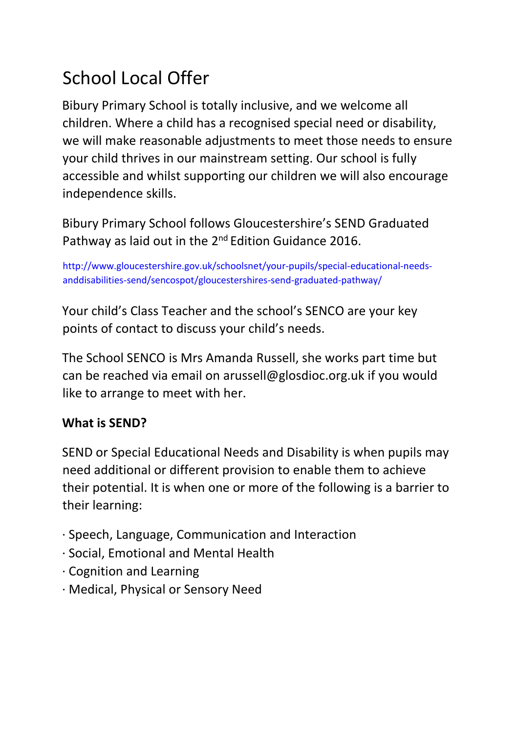# School Local Offer

Bibury Primary School is totally inclusive, and we welcome all children. Where a child has a recognised special need or disability, we will make reasonable adjustments to meet those needs to ensure your child thrives in our mainstream setting. Our school is fully accessible and whilst supporting our children we will also encourage independence skills.

Bibury Primary School follows Gloucestershire's SEND Graduated Pathway as laid out in the 2<sup>nd</sup> Edition Guidance 2016.

http://www.gloucestershire.gov.uk/schoolsnet/your-pupils/special-educational-needsanddisabilities-send/sencospot/gloucestershires-send-graduated-pathway/

Your child's Class Teacher and the school's SENCO are your key points of contact to discuss your child's needs.

The School SENCO is Mrs Amanda Russell, she works part time but can be reached via email on arussell@glosdioc.org.uk if you would like to arrange to meet with her.

## **What is SEND?**

SEND or Special Educational Needs and Disability is when pupils may need additional or different provision to enable them to achieve their potential. It is when one or more of the following is a barrier to their learning:

- · Speech, Language, Communication and Interaction
- · Social, Emotional and Mental Health
- · Cognition and Learning
- · Medical, Physical or Sensory Need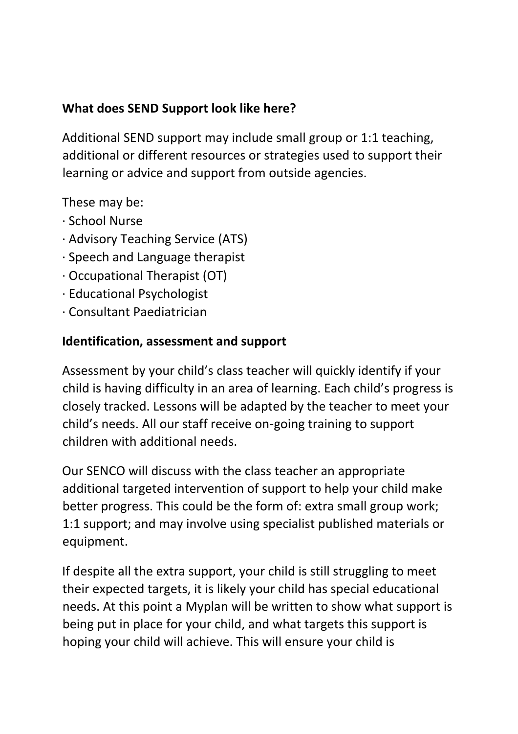## **What does SEND Support look like here?**

Additional SEND support may include small group or 1:1 teaching, additional or different resources or strategies used to support their learning or advice and support from outside agencies.

These may be:

- · School Nurse
- · Advisory Teaching Service (ATS)
- · Speech and Language therapist
- · Occupational Therapist (OT)
- · Educational Psychologist
- · Consultant Paediatrician

### **Identification, assessment and support**

Assessment by your child's class teacher will quickly identify if your child is having difficulty in an area of learning. Each child's progress is closely tracked. Lessons will be adapted by the teacher to meet your child's needs. All our staff receive on-going training to support children with additional needs.

Our SENCO will discuss with the class teacher an appropriate additional targeted intervention of support to help your child make better progress. This could be the form of: extra small group work; 1:1 support; and may involve using specialist published materials or equipment.

If despite all the extra support, your child is still struggling to meet their expected targets, it is likely your child has special educational needs. At this point a Myplan will be written to show what support is being put in place for your child, and what targets this support is hoping your child will achieve. This will ensure your child is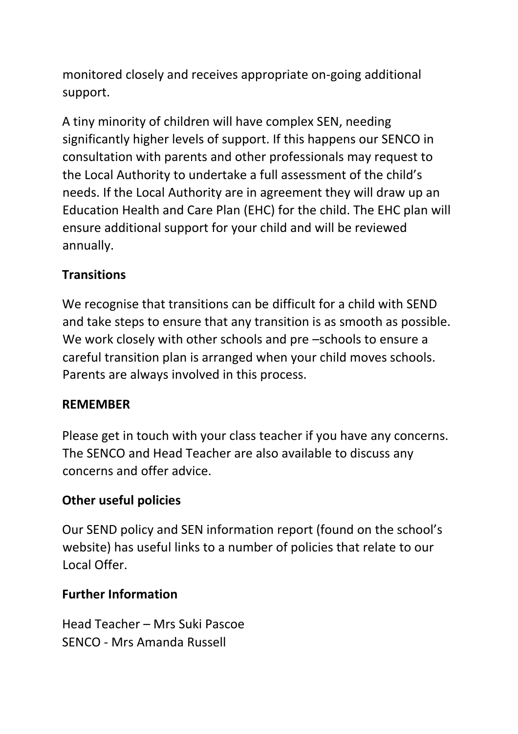monitored closely and receives appropriate on-going additional support.

A tiny minority of children will have complex SEN, needing significantly higher levels of support. If this happens our SENCO in consultation with parents and other professionals may request to the Local Authority to undertake a full assessment of the child's needs. If the Local Authority are in agreement they will draw up an Education Health and Care Plan (EHC) for the child. The EHC plan will ensure additional support for your child and will be reviewed annually.

## **Transitions**

We recognise that transitions can be difficult for a child with SEND and take steps to ensure that any transition is as smooth as possible. We work closely with other schools and pre –schools to ensure a careful transition plan is arranged when your child moves schools. Parents are always involved in this process.

### **REMEMBER**

Please get in touch with your class teacher if you have any concerns. The SENCO and Head Teacher are also available to discuss any concerns and offer advice.

## **Other useful policies**

Our SEND policy and SEN information report (found on the school's website) has useful links to a number of policies that relate to our Local Offer.

### **Further Information**

Head Teacher – Mrs Suki Pascoe SENCO - Mrs Amanda Russell